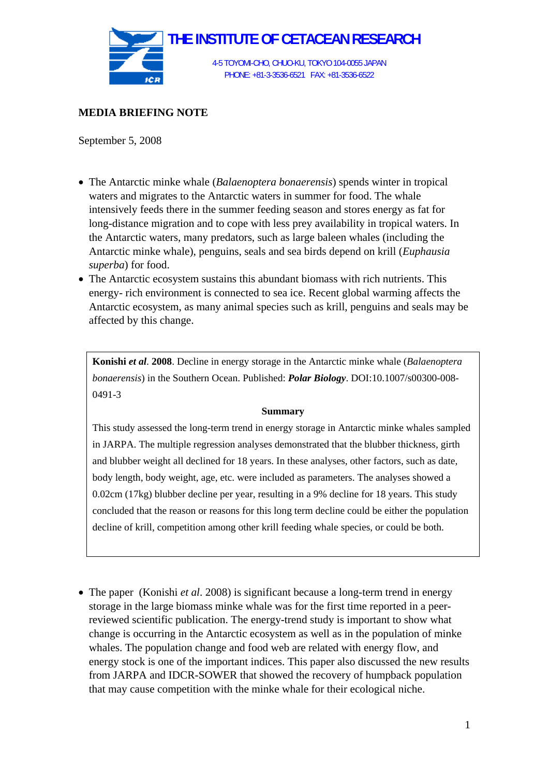

## **MEDIA BRIEFING NOTE**

September 5, 2008

- The Antarctic minke whale (*Balaenoptera bonaerensis*) spends winter in tropical waters and migrates to the Antarctic waters in summer for food. The whale intensively feeds there in the summer feeding season and stores energy as fat for long-distance migration and to cope with less prey availability in tropical waters. In the Antarctic waters, many predators, such as large baleen whales (including the Antarctic minke whale), penguins, seals and sea birds depend on krill (*Euphausia superba*) for food.
- The Antarctic ecosystem sustains this abundant biomass with rich nutrients. This energy- rich environment is connected to sea ice. Recent global warming affects the Antarctic ecosystem, as many animal species such as krill, penguins and seals may be affected by this change.

**Konishi** *et al*. **2008**. Decline in energy storage in the Antarctic minke whale (*Balaenoptera bonaerensis*) in the Southern Ocean. Published: *Polar Biology*. DOI:10.1007/s00300-008- 0491-3

#### **Summary**

This study assessed the long-term trend in energy storage in Antarctic minke whales sampled in JARPA. The multiple regression analyses demonstrated that the blubber thickness, girth and blubber weight all declined for 18 years. In these analyses, other factors, such as date, body length, body weight, age, etc. were included as parameters. The analyses showed a 0.02cm (17kg) blubber decline per year, resulting in a 9% decline for 18 years. This study concluded that the reason or reasons for this long term decline could be either the population decline of krill, competition among other krill feeding whale species, or could be both.

• The paper (Konishi *et al.* 2008) is significant because a long-term trend in energy storage in the large biomass minke whale was for the first time reported in a peerreviewed scientific publication. The energy-trend study is important to show what change is occurring in the Antarctic ecosystem as well as in the population of minke whales. The population change and food web are related with energy flow, and energy stock is one of the important indices. This paper also discussed the new results from JARPA and IDCR-SOWER that showed the recovery of humpback population that may cause competition with the minke whale for their ecological niche.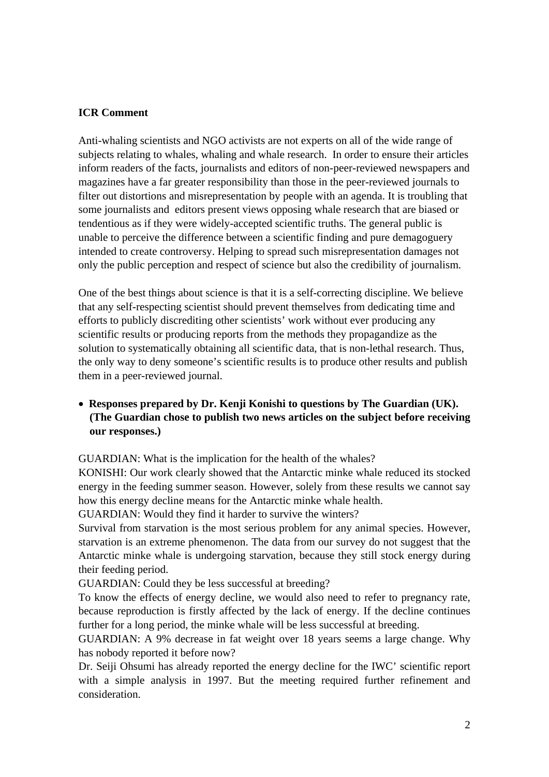### **ICR Comment**

Anti-whaling scientists and NGO activists are not experts on all of the wide range of subjects relating to whales, whaling and whale research. In order to ensure their articles inform readers of the facts, journalists and editors of non-peer-reviewed newspapers and magazines have a far greater responsibility than those in the peer-reviewed journals to filter out distortions and misrepresentation by people with an agenda. It is troubling that some journalists and editors present views opposing whale research that are biased or tendentious as if they were widely-accepted scientific truths. The general public is unable to perceive the difference between a scientific finding and pure demagoguery intended to create controversy. Helping to spread such misrepresentation damages not only the public perception and respect of science but also the credibility of journalism.

One of the best things about science is that it is a self-correcting discipline. We believe that any self-respecting scientist should prevent themselves from dedicating time and efforts to publicly discrediting other scientists' work without ever producing any scientific results or producing reports from the methods they propagandize as the solution to systematically obtaining all scientific data, that is non-lethal research. Thus, the only way to deny someone's scientific results is to produce other results and publish them in a peer-reviewed journal.

## • **Responses prepared by Dr. Kenji Konishi to questions by The Guardian (UK). (The Guardian chose to publish two news articles on the subject before receiving our responses.)**

GUARDIAN: What is the implication for the health of the whales?

KONISHI: Our work clearly showed that the Antarctic minke whale reduced its stocked energy in the feeding summer season. However, solely from these results we cannot say how this energy decline means for the Antarctic minke whale health.

GUARDIAN: Would they find it harder to survive the winters?

Survival from starvation is the most serious problem for any animal species. However, starvation is an extreme phenomenon. The data from our survey do not suggest that the Antarctic minke whale is undergoing starvation, because they still stock energy during their feeding period.

GUARDIAN: Could they be less successful at breeding?

To know the effects of energy decline, we would also need to refer to pregnancy rate, because reproduction is firstly affected by the lack of energy. If the decline continues further for a long period, the minke whale will be less successful at breeding.

GUARDIAN: A 9% decrease in fat weight over 18 years seems a large change. Why has nobody reported it before now?

Dr. Seiji Ohsumi has already reported the energy decline for the IWC' scientific report with a simple analysis in 1997. But the meeting required further refinement and consideration.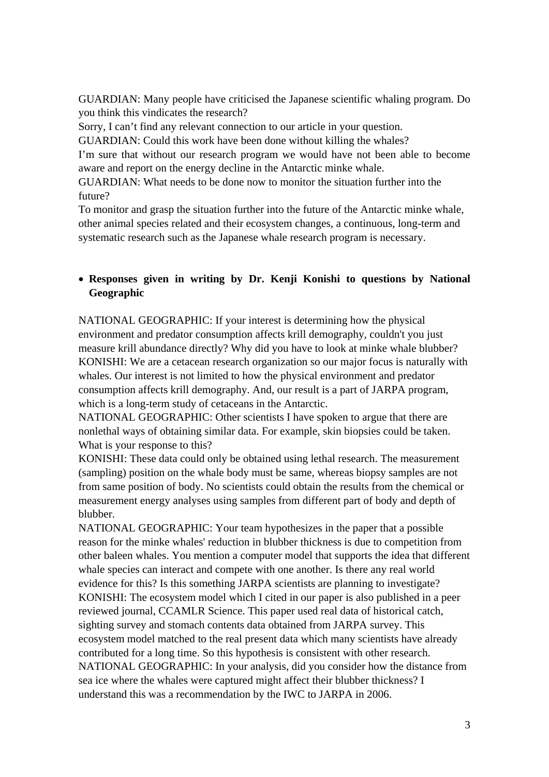GUARDIAN: Many people have criticised the Japanese scientific whaling program. Do you think this vindicates the research?

Sorry, I can't find any relevant connection to our article in your question.

GUARDIAN: Could this work have been done without killing the whales?

I'm sure that without our research program we would have not been able to become aware and report on the energy decline in the Antarctic minke whale.

GUARDIAN: What needs to be done now to monitor the situation further into the future?

To monitor and grasp the situation further into the future of the Antarctic minke whale, other animal species related and their ecosystem changes, a continuous, long-term and systematic research such as the Japanese whale research program is necessary.

# • **Responses given in writing by Dr. Kenji Konishi to questions by National Geographic**

NATIONAL GEOGRAPHIC: If your interest is determining how the physical environment and predator consumption affects krill demography, couldn't you just measure krill abundance directly? Why did you have to look at minke whale blubber? KONISHI: We are a cetacean research organization so our major focus is naturally with whales. Our interest is not limited to how the physical environment and predator consumption affects krill demography. And, our result is a part of JARPA program, which is a long-term study of cetaceans in the Antarctic.

NATIONAL GEOGRAPHIC: Other scientists I have spoken to argue that there are nonlethal ways of obtaining similar data. For example, skin biopsies could be taken. What is your response to this?

KONISHI: These data could only be obtained using lethal research. The measurement (sampling) position on the whale body must be same, whereas biopsy samples are not from same position of body. No scientists could obtain the results from the chemical or measurement energy analyses using samples from different part of body and depth of blubber.

NATIONAL GEOGRAPHIC: Your team hypothesizes in the paper that a possible reason for the minke whales' reduction in blubber thickness is due to competition from other baleen whales. You mention a computer model that supports the idea that different whale species can interact and compete with one another. Is there any real world evidence for this? Is this something JARPA scientists are planning to investigate? KONISHI: The ecosystem model which I cited in our paper is also published in a peer reviewed journal, CCAMLR Science. This paper used real data of historical catch, sighting survey and stomach contents data obtained from JARPA survey. This ecosystem model matched to the real present data which many scientists have already contributed for a long time. So this hypothesis is consistent with other research. NATIONAL GEOGRAPHIC: In your analysis, did you consider how the distance from sea ice where the whales were captured might affect their blubber thickness? I understand this was a recommendation by the IWC to JARPA in 2006.